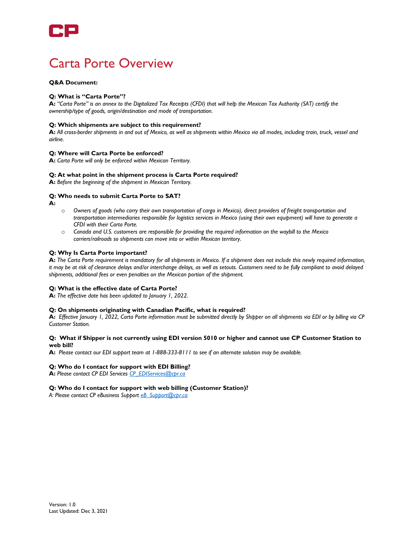

# Carta Porte Overview

# **Q&A Document:**

## **Q: What is "Carta Porte"?**

**A:** *"Carta Porte" is an annex to the Digitalized Tax Receipts (CFDI) that will help the Mexican Tax Authority (SAT) certify the ownership/type of goods, origin/destination and mode of transportation.*

#### **Q: Which shipments are subject to this requirement?**

**A:** *All cross-border shipments in and out of Mexico, as well as shipments within Mexico via all modes, including train, truck, vessel and airline.*

## **Q: Where will Carta Porte be enforced?**

**A:** *Carta Porte will only be enforced within Mexican Territory.*

### **Q: At what point in the shipment process is Carta Porte required?**

**A:** *Before the beginning of the shipment in Mexican Territory.*

### **Q: Who needs to submit Carta Porte to SAT?**

**A:** 

- o *Owners of goods (who carry their own transportation of cargo in Mexico), direct providers of freight transportation and transportation intermediaries responsible for logistics services in Mexico (using their own equipment) will have to generate a CFDI with their Carta Porte.*
- o *Canada and U.S. customers are responsible for providing the required information on the waybill to the Mexico carriers/railroads so shipments can move into or within Mexican territory.*

# **Q: Why Is Carta Porte important?**

**A:** *The Carta Porte requirement is mandatory for all shipments in Mexico. If a shipment does not include this newly required information, it may be at risk of clearance delays and/or interchange delays, as well as setouts. Customers need to be fully compliant to avoid delayed shipments, additional fees or even penalties on the Mexican portion of the shipment.*

#### **Q: What is the effective date of Carta Porte?**

**A:** *The effective date has been updated to January 1, 2022.*

#### **Q: On shipments originating with Canadian Pacific, what is required?**

**A:** *Effective January 1, 2022, Carta Porte information must be submitted directly by Shipper on all shipments via EDI or by billing via CP Customer Station.*

# **Q: What if Shipper is not currently using EDI version 5010 or higher and cannot use CP Customer Station to web bill?**

**A:** *Please contact our EDI support team at 1-888-333-8111 to see if an alternate solution may be available.*

#### **Q: Who do I contact for support with EDI Billing?**

**A:** *Please contact CP EDI Services [CP\\_EDIServices@cpr.ca](mailto:CP_EDIServices@cpr.ca)*

# **Q: Who do I contact for support with web billing (Customer Station)?**

*A: Please contact CP eBusiness Suppor[t eB\\_Support@cpr.ca](mailto:eB_Support@cpr.ca)*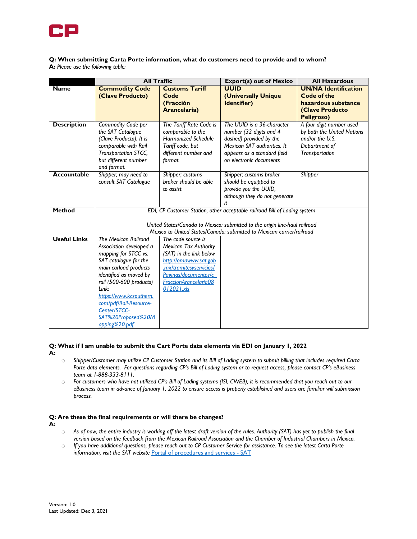

# **Q: When submitting Carta Porte information, what do customers need to provide and to whom? A:** *Please use the following table:*

|                     | <b>All Traffic</b>                                                         |                              | <b>Export(s) out of Mexico</b> | <b>All Hazardous</b>                        |
|---------------------|----------------------------------------------------------------------------|------------------------------|--------------------------------|---------------------------------------------|
| <b>Name</b>         | <b>Commodity Code</b>                                                      | <b>Customs Tariff</b>        | <b>UUID</b>                    | <b>UN/NA Identification</b>                 |
|                     | (Clave Producto)                                                           | Code                         | <b>(Universally Unique</b>     | Code of the                                 |
|                     |                                                                            | (Fracción                    | Identifier)                    | hazardous substance                         |
|                     |                                                                            | Arancelaria)                 |                                | <b>(Clave Producto</b><br><b>Peligroso)</b> |
| <b>Description</b>  | Commodity Code per                                                         | The Tariff Rate Code is      | The UUID is a 36-character     | A four digit number used                    |
|                     | the SAT Catalogue                                                          | comparable to the            | number (32 digits and 4        | by both the United Nations                  |
|                     | (Clave Producto). It is                                                    | <b>Harmonized Schedule</b>   | dashed) provided by the        | and/or the U.S.                             |
|                     | comparable with Rail                                                       | Tariff code, but             | Mexican SAT authorities. It    | Department of                               |
|                     | Transportation STCC,                                                       | different number and         | appears as a standard field    | Transportation                              |
|                     | but different number                                                       | format.                      | on electronic documents        |                                             |
|                     | and format.                                                                |                              |                                |                                             |
| <b>Accountable</b>  | Shipper; may need to                                                       | Shipper; customs             | Shipper; customs broker        | Shipper                                     |
|                     | consult SAT Catalogue                                                      | broker should be able        | should be equipped to          |                                             |
|                     |                                                                            | to assist                    | provide you the UUID,          |                                             |
|                     |                                                                            |                              | although they do not generate  |                                             |
| <b>Method</b>       |                                                                            |                              | it.                            |                                             |
|                     | EDI, CP Customer Station, other acceptable railroad Bill of Lading system  |                              |                                |                                             |
|                     | United States/Canada to Mexico: submitted to the origin line-haul railroad |                              |                                |                                             |
|                     | Mexico to United States/Canada: submitted to Mexican carrier/railroad      |                              |                                |                                             |
| <b>Useful Links</b> | <b>The Mexican Railroad</b>                                                | The code source is           |                                |                                             |
|                     | Association developed a                                                    | <b>Mexican Tax Authority</b> |                                |                                             |
|                     | mapping for STCC vs.                                                       | (SAT) in the link below      |                                |                                             |
|                     | SAT catalogue for the                                                      | http://omawww.sat.gob        |                                |                                             |
|                     | main carload products                                                      | .mx/tramitesyservicios/      |                                |                                             |
|                     | identified as moved by                                                     | Paginas/documentos/c         |                                |                                             |
|                     | rail (500-600 products)<br>Link:                                           | FraccionArancelaria08        |                                |                                             |
|                     |                                                                            | 012021.xls                   |                                |                                             |
|                     | https://www.kcsouthern.<br>com/pdf/Rail-Resource-                          |                              |                                |                                             |
|                     | Center/STCC-                                                               |                              |                                |                                             |
|                     | SAT%20Proposed%20M                                                         |                              |                                |                                             |
|                     | apping%20.pdf                                                              |                              |                                |                                             |

#### **Q: What if I am unable to submit the Cart Porte data elements via EDI on January 1, 2022 A:**

- o *Shipper/Customer may utilize CP Customer Station and its Bill of Lading system to submit billing that includes required Carta Porte data elements. For questions regarding CP's Bill of Lading system or to request access, please contact CP's eBusiness team at 1-888-333-8111.*
- o *For customers who have not utilized CP's Bill of Lading systems (ISI, CWEB), it is recommended that you reach out to our eBusiness team in advance of January 1, 2022 to ensure access is properly established and users are familiar will submission process.*

#### **Q: Are these the final requirements or will there be changes? A:**

- o *As of now, the entire industry is working off the latest draft version of the rules. Authority (SAT) has yet to publish the final version based on the feedback from the Mexican Railroad Association and the Chamber of Industrial Chambers in Mexico.*
- o *If you have additional questions, please reach out to CP Customer Service for assistance. To see the latest Carta Porte information, visit the SAT website* [Portal of procedures and services -](https://www.sat.gob.mx/home) SAT